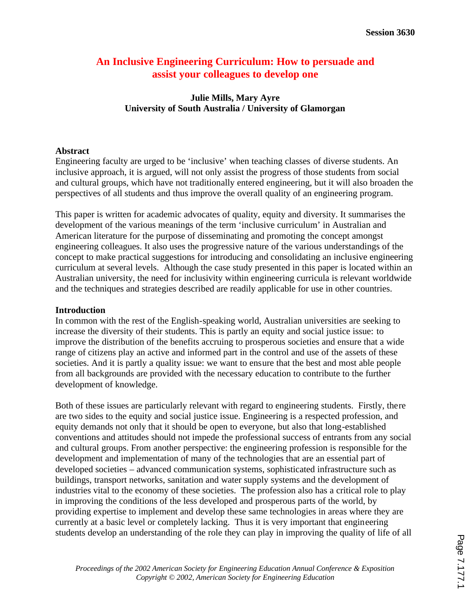# **An Inclusive Engineering Curriculum: How to persuade and assist your colleagues to develop one**

## **Julie Mills, Mary Ayre University of South Australia / University of Glamorgan**

### **Abstract**

Engineering faculty are urged to be 'inclusive' when teaching classes of diverse students. An inclusive approach, it is argued, will not only assist the progress of those students from social and cultural groups, which have not traditionally entered engineering, but it will also broaden the perspectives of all students and thus improve the overall quality of an engineering program.

This paper is written for academic advocates of quality, equity and diversity. It summarises the development of the various meanings of the term 'inclusive curriculum' in Australian and American literature for the purpose of disseminating and promoting the concept amongst engineering colleagues. It also uses the progressive nature of the various understandings of the concept to make practical suggestions for introducing and consolidating an inclusive engineering curriculum at several levels. Although the case study presented in this paper is located within an Australian university, the need for inclusivity within engineering curricula is relevant worldwide and the techniques and strategies described are readily applicable for use in other countries.

#### **Introduction**

In common with the rest of the English-speaking world, Australian universities are seeking to increase the diversity of their students. This is partly an equity and social justice issue: to improve the distribution of the benefits accruing to prosperous societies and ensure that a wide range of citizens play an active and informed part in the control and use of the assets of these societies. And it is partly a quality issue: we want to ensure that the best and most able people from all backgrounds are provided with the necessary education to contribute to the further development of knowledge.

Both of these issues are particularly relevant with regard to engineering students. Firstly, there are two sides to the equity and social justice issue. Engineering is a respected profession, and equity demands not only that it should be open to everyone, but also that long-established conventions and attitudes should not impede the professional success of entrants from any social and cultural groups. From another perspective: the engineering profession is responsible for the development and implementation of many of the technologies that are an essential part of developed societies – advanced communication systems, sophisticated infrastructure such as buildings, transport networks, sanitation and water supply systems and the development of industries vital to the economy of these societies. The profession also has a critical role to play in improving the conditions of the less developed and prosperous parts of the world, by providing expertise to implement and develop these same technologies in areas where they are currently at a basic level or completely lacking. Thus it is very important that engineering students develop an understanding of the role they can play in improving the quality of life of all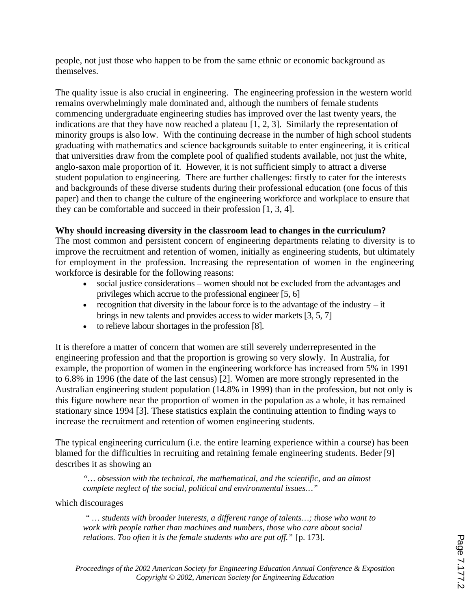people, not just those who happen to be from the same ethnic or economic background as themselves.

The quality issue is also crucial in engineering. The engineering profession in the western world remains overwhelmingly male dominated and, although the numbers of female students commencing undergraduate engineering studies has improved over the last twenty years, the indications are that they have now reached a plateau [1, 2, 3]. Similarly the representation of minority groups is also low. With the continuing decrease in the number of high school students graduating with mathematics and science backgrounds suitable to enter engineering, it is critical that universities draw from the complete pool of qualified students available, not just the white, anglo-saxon male proportion of it. However, it is not sufficient simply to attract a diverse student population to engineering. There are further challenges: firstly to cater for the interests and backgrounds of these diverse students during their professional education (one focus of this paper) and then to change the culture of the engineering workforce and workplace to ensure that they can be comfortable and succeed in their profession [1, 3, 4].

## **Why should increasing diversity in the classroom lead to changes in the curriculum?**

The most common and persistent concern of engineering departments relating to diversity is to improve the recruitment and retention of women, initially as engineering students, but ultimately for employment in the profession. Increasing the representation of women in the engineering workforce is desirable for the following reasons:

- · social justice considerations women should not be excluded from the advantages and privileges which accrue to the professional engineer [5, 6]
- recognition that diversity in the labour force is to the advantage of the industry  $-$  it brings in new talents and provides access to wider markets [3, 5, 7]
- · to relieve labour shortages in the profession [8].

It is therefore a matter of concern that women are still severely underrepresented in the engineering profession and that the proportion is growing so very slowly. In Australia, for example, the proportion of women in the engineering workforce has increased from 5% in 1991 to 6.8% in 1996 (the date of the last census) [2]. Women are more strongly represented in the Australian engineering student population (14.8% in 1999) than in the profession, but not only is this figure nowhere near the proportion of women in the population as a whole, it has remained stationary since 1994 [3]. These statistics explain the continuing attention to finding ways to increase the recruitment and retention of women engineering students.

The typical engineering curriculum (i.e. the entire learning experience within a course) has been blamed for the difficulties in recruiting and retaining female engineering students. Beder [9] describes it as showing an

*"… obsession with the technical, the mathematical, and the scientific, and an almost complete neglect of the social, political and environmental issues…"* 

which discourages

 *" … students with broader interests, a different range of talents…; those who want to work with people rather than machines and numbers, those who care about social relations. Too often it is the female students who are put off."* [p. 173].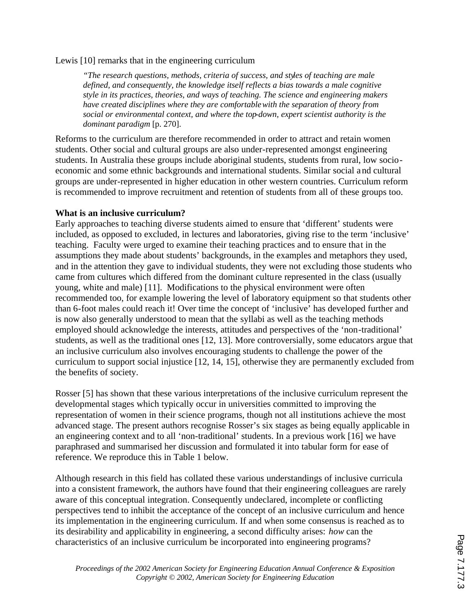Lewis [10] remarks that in the engineering curriculum

*"The research questions, methods, criteria of success, and styles of teaching are male defined, and consequently, the knowledge itself reflects a bias towards a male cognitive style in its practices, theories, and ways of teaching. The science and engineering makers have created disciplines where they are comfortable with the separation of theory from social or environmental context, and where the top-down, expert scientist authority is the dominant paradigm* [p. 270].

Reforms to the curriculum are therefore recommended in order to attract and retain women students. Other social and cultural groups are also under-represented amongst engineering students. In Australia these groups include aboriginal students, students from rural, low socioeconomic and some ethnic backgrounds and international students. Similar social and cultural groups are under-represented in higher education in other western countries. Curriculum reform is recommended to improve recruitment and retention of students from all of these groups too.

### **What is an inclusive curriculum?**

Early approaches to teaching diverse students aimed to ensure that 'different' students were included, as opposed to excluded, in lectures and laboratories, giving rise to the term 'inclusive' teaching. Faculty were urged to examine their teaching practices and to ensure that in the assumptions they made about students' backgrounds, in the examples and metaphors they used, and in the attention they gave to individual students, they were not excluding those students who came from cultures which differed from the dominant culture represented in the class (usually young, white and male) [11]. Modifications to the physical environment were often recommended too, for example lowering the level of laboratory equipment so that students other than 6-foot males could reach it! Over time the concept of 'inclusive' has developed further and is now also generally understood to mean that the syllabi as well as the teaching methods employed should acknowledge the interests, attitudes and perspectives of the 'non-traditional' students, as well as the traditional ones [12, 13]. More controversially, some educators argue that an inclusive curriculum also involves encouraging students to challenge the power of the curriculum to support social injustice [12, 14, 15], otherwise they are permanently excluded from the benefits of society.

Rosser [5] has shown that these various interpretations of the inclusive curriculum represent the developmental stages which typically occur in universities committed to improving the representation of women in their science programs, though not all institutions achieve the most advanced stage. The present authors recognise Rosser's six stages as being equally applicable in an engineering context and to all 'non-traditional' students. In a previous work [16] we have paraphrased and summarised her discussion and formulated it into tabular form for ease of reference. We reproduce this in Table 1 below.

Although research in this field has collated these various understandings of inclusive curricula into a consistent framework, the authors have found that their engineering colleagues are rarely aware of this conceptual integration. Consequently undeclared, incomplete or conflicting perspectives tend to inhibit the acceptance of the concept of an inclusive curriculum and hence its implementation in the engineering curriculum. If and when some consensus is reached as to its desirability and applicability in engineering, a second difficulty arises: *how* can the characteristics of an inclusive curriculum be incorporated into engineering programs?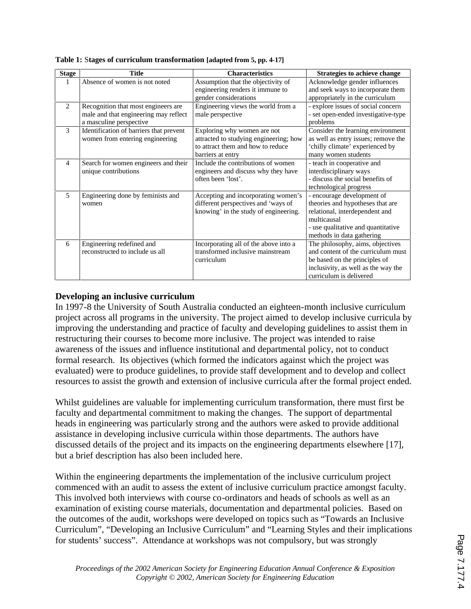| <b>Stage</b>   | Title                                                                                                   | <b>Characteristics</b>                                                                                                          | <b>Strategies to achieve change</b>                                                                                                                                                |
|----------------|---------------------------------------------------------------------------------------------------------|---------------------------------------------------------------------------------------------------------------------------------|------------------------------------------------------------------------------------------------------------------------------------------------------------------------------------|
| 1              | Absence of women is not noted                                                                           | Assumption that the objectivity of<br>engineering renders it immune to<br>gender considerations                                 | Acknowledge gender influences<br>and seek ways to incorporate them<br>appropriately in the curriculum                                                                              |
| 2              | Recognition that most engineers are<br>male and that engineering may reflect<br>a masculine perspective | Engineering views the world from a<br>male perspective                                                                          | - explore issues of social concern<br>- set open-ended investigative-type<br>problems                                                                                              |
| $\mathcal{F}$  | Identification of barriers that prevent<br>women from entering engineering                              | Exploring why women are not<br>attracted to studying engineering; how<br>to attract them and how to reduce<br>barriers at entry | Consider the learning environment<br>as well as entry issues; remove the<br>'chilly climate' experienced by<br>many women students                                                 |
| $\overline{4}$ | Search for women engineers and their<br>unique contributions                                            | Include the contributions of women<br>engineers and discuss why they have<br>often been 'lost'.                                 | - teach in cooperative and<br>interdisciplinary ways<br>- discuss the social benefits of<br>technological progress                                                                 |
| 5              | Engineering done by feminists and<br>women                                                              | Accepting and incorporating women's<br>different perspectives and 'ways of<br>knowing' in the study of engineering.             | - encourage development of<br>theories and hypotheses that are<br>relational, interdependent and<br>multicausal<br>- use qualitative and quantitative<br>methods in data gathering |
| 6              | Engineering redefined and<br>reconstructed to include us all                                            | Incorporating all of the above into a<br>transformed inclusive mainstream<br>curriculum                                         | The philosophy, aims, objectives<br>and content of the curriculum must<br>be based on the principles of<br>inclusivity, as well as the way the<br>curriculum is delivered          |

**Table 1:** S**tages of curriculum transformation [adapted from 5, pp. 4-17]**

## **Developing an inclusive curriculum**

In 1997-8 the University of South Australia conducted an eighteen-month inclusive curriculum project across all programs in the university. The project aimed to develop inclusive curricula by improving the understanding and practice of faculty and developing guidelines to assist them in restructuring their courses to become more inclusive. The project was intended to raise awareness of the issues and influence institutional and departmental policy, not to conduct formal research. Its objectives (which formed the indicators against which the project was evaluated) were to produce guidelines, to provide staff development and to develop and collect resources to assist the growth and extension of inclusive curricula after the formal project ended.

Whilst guidelines are valuable for implementing curriculum transformation, there must first be faculty and departmental commitment to making the changes. The support of departmental heads in engineering was particularly strong and the authors were asked to provide additional assistance in developing inclusive curricula within those departments. The authors have discussed details of the project and its impacts on the engineering departments elsewhere [17], but a brief description has also been included here.

Within the engineering departments the implementation of the inclusive curriculum project commenced with an audit to assess the extent of inclusive curriculum practice amongst faculty. This involved both interviews with course co-ordinators and heads of schools as well as an examination of existing course materials, documentation and departmental policies. Based on the outcomes of the audit, workshops were developed on topics such as "Towards an Inclusive Curriculum", "Developing an Inclusive Curriculum" and "Learning Styles and their implications for students' success". Attendance at workshops was not compulsory, but was strongly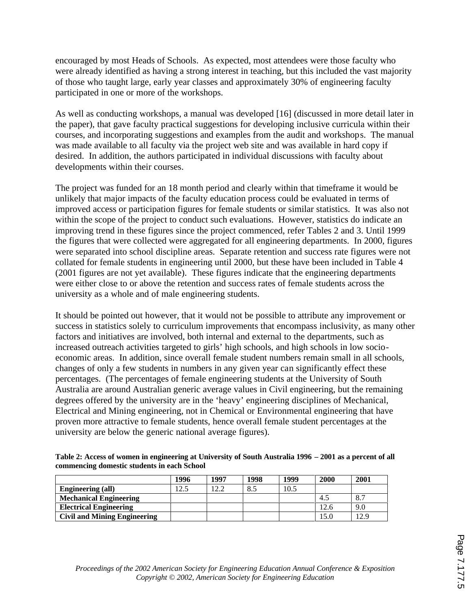encouraged by most Heads of Schools. As expected, most attendees were those faculty who were already identified as having a strong interest in teaching, but this included the vast majority of those who taught large, early year classes and approximately 30% of engineering faculty participated in one or more of the workshops.

As well as conducting workshops, a manual was developed [16] (discussed in more detail later in the paper), that gave faculty practical suggestions for developing inclusive curricula within their courses, and incorporating suggestions and examples from the audit and workshops. The manual was made available to all faculty via the project web site and was available in hard copy if desired. In addition, the authors participated in individual discussions with faculty about developments within their courses.

The project was funded for an 18 month period and clearly within that timeframe it would be unlikely that major impacts of the faculty education process could be evaluated in terms of improved access or participation figures for female students or similar statistics. It was also not within the scope of the project to conduct such evaluations. However, statistics do indicate an improving trend in these figures since the project commenced, refer Tables 2 and 3. Until 1999 the figures that were collected were aggregated for all engineering departments. In 2000, figures were separated into school discipline areas. Separate retention and success rate figures were not collated for female students in engineering until 2000, but these have been included in Table 4 (2001 figures are not yet available). These figures indicate that the engineering departments were either close to or above the retention and success rates of female students across the university as a whole and of male engineering students.

It should be pointed out however, that it would not be possible to attribute any improvement or success in statistics solely to curriculum improvements that encompass inclusivity, as many other factors and initiatives are involved, both internal and external to the departments, such as increased outreach activities targeted to girls' high schools, and high schools in low socioeconomic areas. In addition, since overall female student numbers remain small in all schools, changes of only a few students in numbers in any given year can significantly effect these percentages. (The percentages of female engineering students at the University of South Australia are around Australian generic average values in Civil engineering, but the remaining degrees offered by the university are in the 'heavy' engineering disciplines of Mechanical, Electrical and Mining engineering, not in Chemical or Environmental engineering that have proven more attractive to female students, hence overall female student percentages at the university are below the generic national average figures).

**Table 2: Access of women in engineering at University of South Australia 1996 – 2001 as a percent of all commencing domestic students in each School** 

|                                     | 1996 | 1997  | 1998 | 1999 | 2000 | 2001 |
|-------------------------------------|------|-------|------|------|------|------|
| Engineering (all)                   | 12.5 | 1 າົາ | 8.5  | 10.5 |      |      |
| <b>Mechanical Engineering</b>       |      |       |      |      | 4.5  | 8.7  |
| <b>Electrical Engineering</b>       |      |       |      |      | 12.6 | 9.0  |
| <b>Civil and Mining Engineering</b> |      |       |      |      | 15.0 | 12.9 |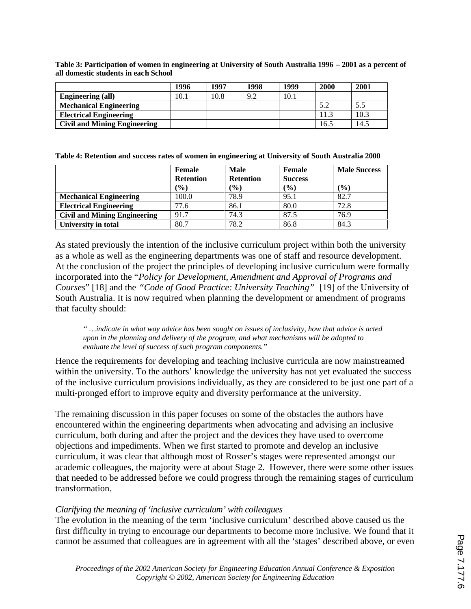|                                     | 1996 | 1997 | 1998 | 1999 | 2000 | 2001 |
|-------------------------------------|------|------|------|------|------|------|
| Engineering (all)                   | .0.1 | 10.8 | 9.2  | 10.1 |      |      |
| <b>Mechanical Engineering</b>       |      |      |      |      | 5.2  |      |
| <b>Electrical Engineering</b>       |      |      |      |      | 11.3 | 10.3 |
| <b>Civil and Mining Engineering</b> |      |      |      |      | 16.5 | .4.5 |

**Table 3: Participation of women in engineering at University of South Australia 1996 – 2001 as a percent of all domestic students in each School** 

**Table 4: Retention and success rates of women in engineering at University of South Australia 2000** 

|                                     | <b>Female</b>    | <b>Male</b>      | <b>Female</b>  | <b>Male Success</b> |
|-------------------------------------|------------------|------------------|----------------|---------------------|
|                                     | <b>Retention</b> | <b>Retention</b> | <b>Success</b> |                     |
|                                     | (9/0)            | $($ %)           | (%)            | (9/0)               |
| <b>Mechanical Engineering</b>       | 100.0            | 78.9             | 95.1           | 82.7                |
| <b>Electrical Engineering</b>       | 77.6             | 86.1             | 80.0           | 72.8                |
| <b>Civil and Mining Engineering</b> | 91.7             | 74.3             | 87.5           | 76.9                |
| University in total                 | 80.7             | 78.2             | 86.8           | 84.3                |

As stated previously the intention of the inclusive curriculum project within both the university as a whole as well as the engineering departments was one of staff and resource development. At the conclusion of the project the principles of developing inclusive curriculum were formally incorporated into the "*Policy for Development, Amendment and Approval of Programs and Courses*" [18] and the *"Code of Good Practice: University Teaching"* [19] of the University of South Australia. It is now required when planning the development or amendment of programs that faculty should:

*" …indicate in what way advice has been sought on issues of inclusivity, how that advice is acted upon in the planning and delivery of the program, and what mechanisms will be adopted to evaluate the level of success of such program components."* 

Hence the requirements for developing and teaching inclusive curricula are now mainstreamed within the university. To the authors' knowledge the university has not yet evaluated the success of the inclusive curriculum provisions individually, as they are considered to be just one part of a multi-pronged effort to improve equity and diversity performance at the university.

The remaining discussion in this paper focuses on some of the obstacles the authors have encountered within the engineering departments when advocating and advising an inclusive curriculum, both during and after the project and the devices they have used to overcome objections and impediments. When we first started to promote and develop an inclusive curriculum, it was clear that although most of Rosser's stages were represented amongst our academic colleagues, the majority were at about Stage 2. However, there were some other issues that needed to be addressed before we could progress through the remaining stages of curriculum transformation.

## *Clarifying the meaning of 'inclusive curriculum' with colleagues*

The evolution in the meaning of the term 'inclusive curriculum' described above caused us the first difficulty in trying to encourage our departments to become more inclusive. We found that it cannot be assumed that colleagues are in agreement with all the 'stages' described above, or even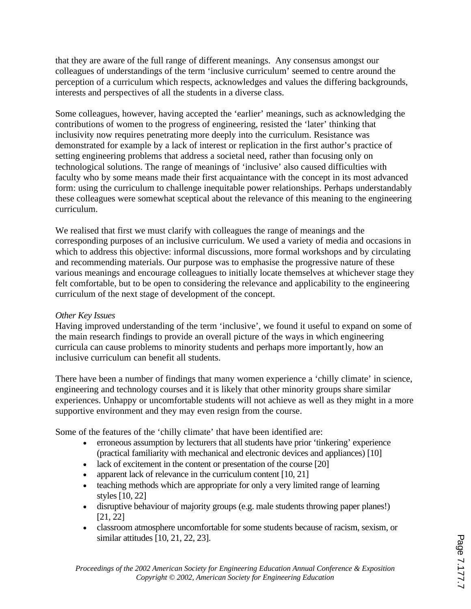that they are aware of the full range of different meanings. Any consensus amongst our colleagues of understandings of the term 'inclusive curriculum' seemed to centre around the perception of a curriculum which respects, acknowledges and values the differing backgrounds, interests and perspectives of all the students in a diverse class.

Some colleagues, however, having accepted the 'earlier' meanings, such as acknowledging the contributions of women to the progress of engineering, resisted the 'later' thinking that inclusivity now requires penetrating more deeply into the curriculum. Resistance was demonstrated for example by a lack of interest or replication in the first author's practice of setting engineering problems that address a societal need, rather than focusing only on technological solutions. The range of meanings of 'inclusive' also caused difficulties with faculty who by some means made their first acquaintance with the concept in its most advanced form: using the curriculum to challenge inequitable power relationships. Perhaps understandably these colleagues were somewhat sceptical about the relevance of this meaning to the engineering curriculum.

We realised that first we must clarify with colleagues the range of meanings and the corresponding purposes of an inclusive curriculum. We used a variety of media and occasions in which to address this objective: informal discussions, more formal workshops and by circulating and recommending materials. Our purpose was to emphasise the progressive nature of these various meanings and encourage colleagues to initially locate themselves at whichever stage they felt comfortable, but to be open to considering the relevance and applicability to the engineering curriculum of the next stage of development of the concept.

## *Other Key Issues*

Having improved understanding of the term 'inclusive', we found it useful to expand on some of the main research findings to provide an overall picture of the ways in which engineering curricula can cause problems to minority students and perhaps more importantly, how an inclusive curriculum can benefit all students.

There have been a number of findings that many women experience a 'chilly climate' in science, engineering and technology courses and it is likely that other minority groups share similar experiences. Unhappy or uncomfortable students will not achieve as well as they might in a more supportive environment and they may even resign from the course.

Some of the features of the 'chilly climate' that have been identified are:

- erroneous assumption by lecturers that all students have prior 'tinkering' experience (practical familiarity with mechanical and electronic devices and appliances) [10]
- lack of excitement in the content or presentation of the course [20]
- apparent lack of relevance in the curriculum content [10, 21]
- teaching methods which are appropriate for only a very limited range of learning styles [10, 22]
- · disruptive behaviour of majority groups (e.g. male students throwing paper planes!) [21, 22]
- · classroom atmosphere uncomfortable for some students because of racism, sexism, or similar attitudes [10, 21, 22, 23].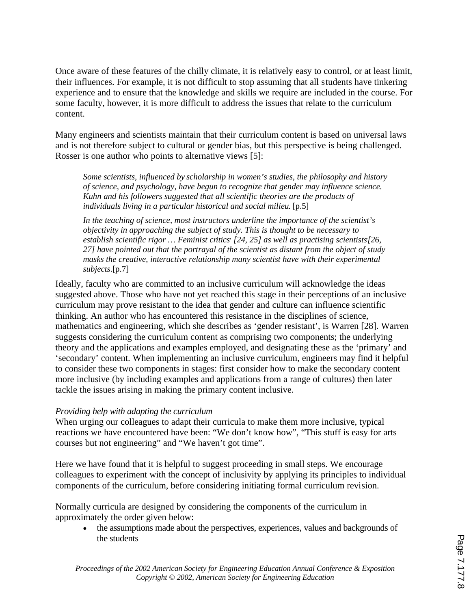Once aware of these features of the chilly climate, it is relatively easy to control, or at least limit, their influences. For example, it is not difficult to stop assuming that all students have tinkering experience and to ensure that the knowledge and skills we require are included in the course. For some faculty, however, it is more difficult to address the issues that relate to the curriculum content.

Many engineers and scientists maintain that their curriculum content is based on universal laws and is not therefore subject to cultural or gender bias, but this perspective is being challenged. Rosser is one author who points to alternative views [5]:

*Some scientists, influenced by scholarship in women's studies, the philosophy and history of science, and psychology, have begun to recognize that gender may influence science. Kuhn and his followers suggested that all scientific theories are the products of individuals living in a particular historical and social milieu*. [p.5]

*In the teaching of science, most instructors underline the importance of the scientist's objectivity in approaching the subject of study. This is thought to be necessary to establish scientific rigor ... Feminist critics* [24, 25] as well as practising scientists<sup>[26,</sup> *27] have pointed out that the portrayal of the scientist as distant from the object of study masks the creative, interactive relationship many scientist have with their experimental subjects*.[p.7]

Ideally, faculty who are committed to an inclusive curriculum will acknowledge the ideas suggested above. Those who have not yet reached this stage in their perceptions of an inclusive curriculum may prove resistant to the idea that gender and culture can influence scientific thinking. An author who has encountered this resistance in the disciplines of science, mathematics and engineering, which she describes as 'gender resistant', is Warren [28]. Warren suggests considering the curriculum content as comprising two components; the underlying theory and the applications and examples employed, and designating these as the 'primary' and 'secondary' content. When implementing an inclusive curriculum, engineers may find it helpful to consider these two components in stages: first consider how to make the secondary content more inclusive (by including examples and applications from a range of cultures) then later tackle the issues arising in making the primary content inclusive.

#### *Providing help with adapting the curriculum*

When urging our colleagues to adapt their curricula to make them more inclusive, typical reactions we have encountered have been: "We don't know how", "This stuff is easy for arts courses but not engineering" and "We haven't got time".

Here we have found that it is helpful to suggest proceeding in small steps. We encourage colleagues to experiment with the concept of inclusivity by applying its principles to individual components of the curriculum, before considering initiating formal curriculum revision.

Normally curricula are designed by considering the components of the curriculum in approximately the order given below:

· the assumptions made about the perspectives, experiences, values and backgrounds of the students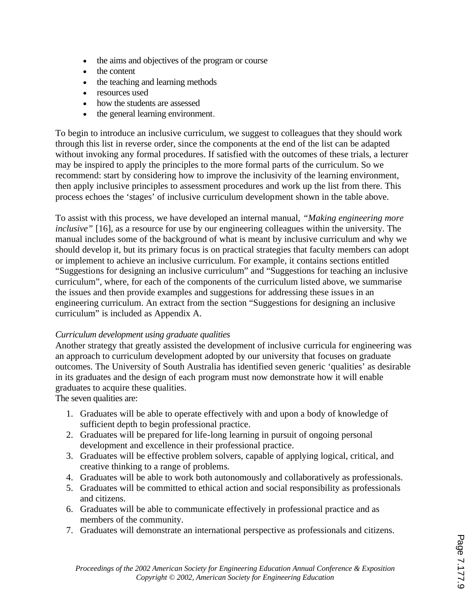- · the aims and objectives of the program or course
- the content
- the teaching and learning methods
- · resources used
- how the students are assessed
- the general learning environment.

To begin to introduce an inclusive curriculum, we suggest to colleagues that they should work through this list in reverse order, since the components at the end of the list can be adapted without invoking any formal procedures. If satisfied with the outcomes of these trials, a lecturer may be inspired to apply the principles to the more formal parts of the curriculum. So we recommend: start by considering how to improve the inclusivity of the learning environment, then apply inclusive principles to assessment procedures and work up the list from there. This process echoes the 'stages' of inclusive curriculum development shown in the table above.

To assist with this process, we have developed an internal manual, *"Making engineering more inclusive"* [16], as a resource for use by our engineering colleagues within the university. The manual includes some of the background of what is meant by inclusive curriculum and why we should develop it, but its primary focus is on practical strategies that faculty members can adopt or implement to achieve an inclusive curriculum. For example, it contains sections entitled "Suggestions for designing an inclusive curriculum" and "Suggestions for teaching an inclusive curriculum", where, for each of the components of the curriculum listed above, we summarise the issues and then provide examples and suggestions for addressing these issues in an engineering curriculum. An extract from the section "Suggestions for designing an inclusive curriculum" is included as Appendix A.

#### *Curriculum development using graduate qualities*

Another strategy that greatly assisted the development of inclusive curricula for engineering was an approach to curriculum development adopted by our university that focuses on graduate outcomes. The University of South Australia has identified seven generic 'qualities' as desirable in its graduates and the design of each program must now demonstrate how it will enable graduates to acquire these qualities.

The seven qualities are:

- 1. Graduates will be able to operate effectively with and upon a body of knowledge of sufficient depth to begin professional practice.
- 2. Graduates will be prepared for life-long learning in pursuit of ongoing personal development and excellence in their professional practice.
- 3. Graduates will be effective problem solvers, capable of applying logical, critical, and creative thinking to a range of problems.
- 4. Graduates will be able to work both autonomously and collaboratively as professionals.
- 5. Graduates will be committed to ethical action and social responsibility as professionals and citizens.
- 6. Graduates will be able to communicate effectively in professional practice and as members of the community.
- 7. Graduates will demonstrate an international perspective as professionals and citizens.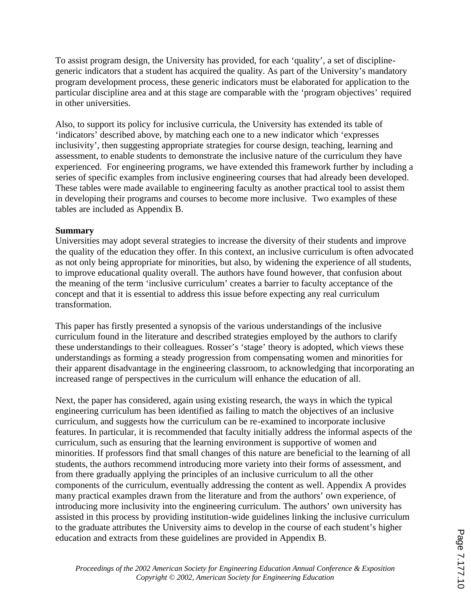To assist program design, the University has provided, for each 'quality', a set of disciplinegeneric indicators that a student has acquired the quality. As part of the University's mandatory program development process, these generic indicators must be elaborated for application to the particular discipline area and at this stage are comparable with the 'program objectives' required in other universities.

Also, to support its policy for inclusive curricula, the University has extended its table of 'indicators' described above, by matching each one to a new indicator which 'expresses inclusivity', then suggesting appropriate strategies for course design, teaching, learning and assessment, to enable students to demonstrate the inclusive nature of the curriculum they have experienced. For engineering programs, we have extended this framework further by including a series of specific examples from inclusive engineering courses that had already been developed. These tables were made available to engineering faculty as another practical tool to assist them in developing their programs and courses to become more inclusive. Two examples of these tables are included as Appendix B.

### **Summary**

Universities may adopt several strategies to increase the diversity of their students and improve the quality of the education they offer. In this context, an inclusive curriculum is often advocated as not only being appropriate for minorities, but also, by widening the experience of all students, to improve educational quality overall. The authors have found however, that confusion about the meaning of the term 'inclusive curriculum' creates a barrier to faculty acceptance of the concept and that it is essential to address this issue before expecting any real curriculum transformation.

This paper has firstly presented a synopsis of the various understandings of the inclusive curriculum found in the literature and described strategies employed by the authors to clarify these understandings to their colleagues. Rosser's 'stage' theory is adopted, which views these understandings as forming a steady progression from compensating women and minorities for their apparent disadvantage in the engineering classroom, to acknowledging that incorporating an increased range of perspectives in the curriculum will enhance the education of all.

Next, the paper has considered, again using existing research, the ways in which the typical engineering curriculum has been identified as failing to match the objectives of an inclusive curriculum, and suggests how the curriculum can be re-examined to incorporate inclusive features. In particular, it is recommended that faculty initially address the informal aspects of the curriculum, such as ensuring that the learning environment is supportive of women and minorities. If professors find that small changes of this nature are beneficial to the learning of all students, the authors recommend introducing more variety into their forms of assessment, and from there gradually applying the principles of an inclusive curriculum to all the other components of the curriculum, eventually addressing the content as well. Appendix A provides many practical examples drawn from the literature and from the authors' own experience, of introducing more inclusivity into the engineering curriculum. The authors' own university has assisted in this process by providing institution-wide guidelines linking the inclusive curriculum to the graduate attributes the University aims to develop in the course of each student's higher education and extracts from these guidelines are provided in Appendix B.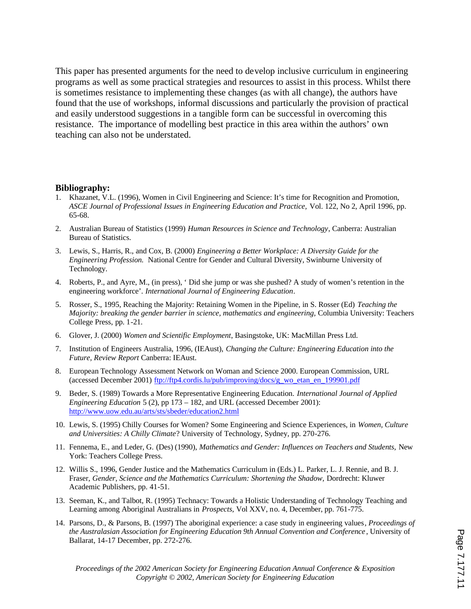This paper has presented arguments for the need to develop inclusive curriculum in engineering programs as well as some practical strategies and resources to assist in this process. Whilst there is sometimes resistance to implementing these changes (as with all change), the authors have found that the use of workshops, informal discussions and particularly the provision of practical and easily understood suggestions in a tangible form can be successful in overcoming this resistance. The importance of modelling best practice in this area within the authors' own teaching can also not be understated.

#### **Bibliography:**

- 1. Khazanet, V.L. (1996), Women in Civil Engineering and Science: It's time for Recognition and Promotion, *ASCE Journal of Professional Issues in Engineering Education and Practice,* Vol. 122, No 2, April 1996, pp. 65-68.
- 2. Australian Bureau of Statistics (1999) *Human Resources in Science and Technology*, Canberra: Australian Bureau of Statistics.
- 3. Lewis, S., Harris, R., and Cox, B. (2000) *Engineering a Better Workplace: A Diversity Guide for the Engineering Profession.* National Centre for Gender and Cultural Diversity, Swinburne University of Technology.
- 4. Roberts, P., and Ayre, M., (in press), ' Did she jump or was she pushed? A study of women's retention in the engineering workforce'. *International Journal of Engineering Education*.
- 5. Rosser, S., 1995, Reaching the Majority: Retaining Women in the Pipeline, in S. Rosser (Ed) *Teaching the Majority: breaking the gender barrier in science, mathematics and engineering,* Columbia University: Teachers College Press, pp. 1-21.
- 6. Glover, J. (2000) *Women and Scientific Employment*, Basingstoke, UK: MacMillan Press Ltd.
- 7. Institution of Engineers Australia, 1996, (IEAust), *Changing the Culture: Engineering Education into the Future, Review Report* Canberra: IEAust.
- 8. European Technology Assessment Network on Woman and Science 2000. European Commission, URL (accessed December 2001) ftp://ftp4.cordis.lu/pub/improving/docs/g\_wo\_etan\_en\_199901.pdf
- 9. Beder, S. (1989) Towards a More Representative Engineering Education. *International Journal of Applied Engineering Education* 5 (2), pp 173 – 182, and URL (accessed December 2001): http://www.uow.edu.au/arts/sts/sbeder/education2.html
- 10. Lewis, S. (1995) Chilly Courses for Women? Some Engineering and Science Experiences, in *Women, Culture and Universities: A Chilly Climate*? University of Technology, Sydney, pp. 270-276.
- 11. Fennema, E., and Leder, G. (Des) (1990), *Mathematics and Gender: Influences on Teachers and Students,* New York: Teachers College Press.
- 12. Willis S., 1996, Gender Justice and the Mathematics Curriculum in (Eds.) L. Parker, L. J. Rennie, and B. J. Fraser, Gender, Science and the Mathematics Curriculum: Shortening the Shadow, Dordrecht: Kluwer Academic Publishers, pp. 41-51.
- 13. Seeman, K., and Talbot, R. (1995) Technacy: Towards a Holistic Understanding of Technology Teaching and Learning among Aboriginal Australians in *Prospects,* Vol XXV, no. 4, December, pp. 761-775.
- 14. Parsons, D., & Parsons, B. (1997) The aboriginal experience: a case study in engineering values*, Proceedings of the Australasian Association for Engineering Education 9th Annual Convention and Conference* , University of Ballarat, 14-17 December, pp. 272-276.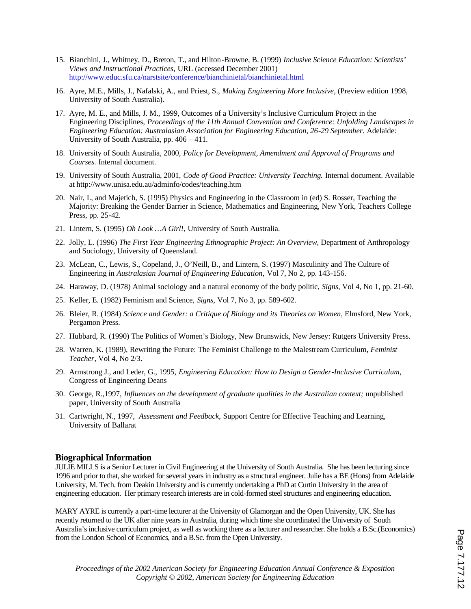- 15. Bianchini, J., Whitney, D., Breton, T., and Hilton-Browne, B. (1999) *Inclusive Science Education: Scientists' Views and Instructional Practices,* URL (accessed December 2001) http://www.educ.sfu.ca/narstsite/conference/bianchinietal/bianchinietal.html
- 16. Ayre, M.E., Mills, J., Nafalski, A., and Priest, S., *Making Engineering More Inclusive*, (Preview edition 1998, University of South Australia).
- 17. Ayre, M. E., and Mills, J. M., 1999, Outcomes of a University's Inclusive Curriculum Project in the Engineering Disciplines, *Proceedings of the 11th Annual Convention and Conference: Unfolding Landscapes in Engineering Education: Australasian Association for Engineering Education, 26-29 September.* Adelaide: University of South Australia, pp. 406 – 411.
- 18. University of South Australia, 2000, *Policy for Development, Amendment and Approval of Programs and Courses.* Internal document.
- 19. University of South Australia, 2001, *Code of Good Practice: University Teaching.* Internal document. Available at http://www.unisa.edu.au/adminfo/codes/teaching.htm
- 20. Nair, I., and Majetich, S. (1995) Physics and Engineering in the Classroom in (ed) S. Rosser, Teaching the Majority: Breaking the Gender Barrier in Science, Mathematics and Engineering*,* New York, Teachers College Press, pp. 25-42.
- 21. Lintern, S. (1995) *Oh Look …A Girl!*, University of South Australia.
- 22. Jolly, L. (1996) *The First Year Engineering Ethnographic Project: An Overview,* Department of Anthropology and Sociology, University of Queensland.
- 23. McLean, C., Lewis, S., Copeland, J., O'Neill, B., and Lintern, S. (1997) Masculinity and The Culture of Engineering in *Australasian Journal of Engineering Education,* Vol 7, No 2, pp. 143-156.
- 24. Haraway, D. (1978) Animal sociology and a natural economy of the body politic, *Signs*, Vol 4, No 1, pp. 21-60.
- 25. Keller, E. (1982) Feminism and Science, *Signs,* Vol 7, No 3, pp. 589-602.
- 26. Bleier, R. (1984) *Science and Gender: a Critique of Biology and its Theories on Women*, Elmsford, New York, Pergamon Press.
- 27. Hubbard, R. (1990) The Politics of Women's Biology, New Brunswick, New Jersey: Rutgers University Press.
- 28. Warren, K. (1989), Rewriting the Future: The Feminist Challenge to the Malestream Curriculum, *Feminist Teacher*, Vol 4, No 2/3**.**
- 29. Armstrong J., and Leder, G., 1995, *Engineering Education: How to Design a Gender-Inclusive Curriculum*, Congress of Engineering Deans
- 30. George, R.,1997, *Influences on the development of graduate qualities in the Australian context;* unpublished paper, University of South Australia
- 31. Cartwright, N., 1997, *Assessment and Feedback,* Support Centre for Effective Teaching and Learning, University of Ballarat

#### **Biographical Information**

JULIE MILLS is a Senior Lecturer in Civil Engineering at the University of South Australia. She has been lecturing since 1996 and prior to that, she worked for several years in industry as a structural engineer. Julie has a BE (Hons) from Adelaide University, M. Tech. from Deakin University and is currently undertaking a PhD at Curtin University in the area of engineering education. Her primary research interests are in cold-formed steel structures and engineering education.

MARY AYRE is currently a part-time lecturer at the University of Glamorgan and the Open University, UK. She has recently returned to the UK after nine years in Australia, during which time she coordinated the University of South Australia's inclusive curriculum project, as well as working there as a lecturer and researcher. She holds a B.Sc.(Economics) from the London School of Economics, and a B.Sc. from the Open University.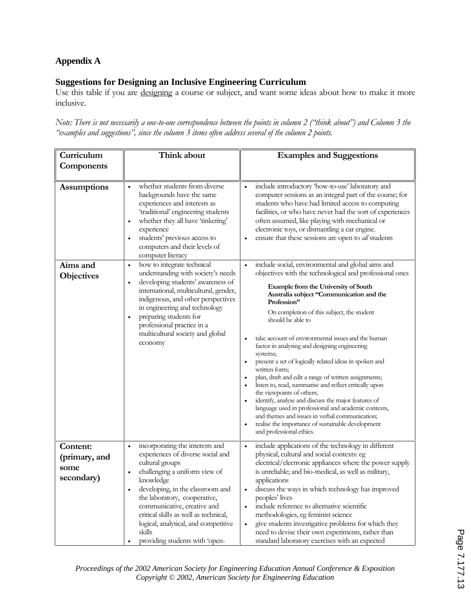## **Appendix A**

## **Suggestions for Designing an Inclusive Engineering Curriculum**

Use this table if you are designing a course or subject, and want some ideas about how to make it more inclusive.

*Note: There is not necessarily a one-to-one correspondence between the points in column 2 ("think about") and Column 3 the* "examples and suggestions", since the column 3 items often address several of the column 2 points.

| Curriculum                                      | Think about                                                                                                                                                                                                                                                                                                                                                                                                               | <b>Examples and Suggestions</b>                                                                                                                                                                                                                                                                                                                                                                                                                                                                                                                                                                                                                                                                                                                                                                                                                                                                   |
|-------------------------------------------------|---------------------------------------------------------------------------------------------------------------------------------------------------------------------------------------------------------------------------------------------------------------------------------------------------------------------------------------------------------------------------------------------------------------------------|---------------------------------------------------------------------------------------------------------------------------------------------------------------------------------------------------------------------------------------------------------------------------------------------------------------------------------------------------------------------------------------------------------------------------------------------------------------------------------------------------------------------------------------------------------------------------------------------------------------------------------------------------------------------------------------------------------------------------------------------------------------------------------------------------------------------------------------------------------------------------------------------------|
| Components                                      |                                                                                                                                                                                                                                                                                                                                                                                                                           |                                                                                                                                                                                                                                                                                                                                                                                                                                                                                                                                                                                                                                                                                                                                                                                                                                                                                                   |
| <b>Assumptions</b>                              | whether students from diverse<br>$\bullet$<br>backgrounds have the same<br>experiences and interests as<br>'traditional' engineering students<br>whether they all have 'tinkering'<br>$\bullet$<br>experience<br>students' previous access to<br>$\bullet$<br>computers and their levels of<br>computer literacy                                                                                                          | include introductory 'how-to-use' laboratory and<br>$\bullet$<br>computer sessions as an integral part of the course; for<br>students who have had limited access to computing<br>facilities, or who have never had the sort of experiences<br>often assumed, like playing with mechanical or<br>electronic toys, or dismantling a car engine.<br>ensure that these sessions are open to all students<br>$\bullet$                                                                                                                                                                                                                                                                                                                                                                                                                                                                                |
| Aims and                                        | how to integrate technical<br>$\bullet$                                                                                                                                                                                                                                                                                                                                                                                   | include social, environmental and global aims and<br>$\bullet$                                                                                                                                                                                                                                                                                                                                                                                                                                                                                                                                                                                                                                                                                                                                                                                                                                    |
| <b>Objectives</b>                               | understanding with society's needs<br>developing students' awareness of<br>$\bullet$<br>international, multicultural, gender,<br>indigenous, and other perspectives<br>in engineering and technology<br>preparing students for<br>$\bullet$<br>professional practice in a<br>multicultural society and global<br>economy                                                                                                  | objectives with the technological and professional ones<br><b>Example from the University of South</b><br>Australia subject "Communication and the<br>Profession"<br>On completion of this subject, the student<br>should be able to<br>take account of environmental issues and the human<br>$\bullet$<br>factor in analysing and designing engineering<br>systems;<br>present a set of logically related ideas in spoken and<br>٠<br>written form;<br>plan, draft and edit a range of written assignments;<br>٠<br>listen to, read, summarise and reflect critically upon<br>$\bullet$<br>the viewpoints of others;<br>identify, analyse and discuss the major features of<br>$\bullet$<br>language used in professional and academic contexts,<br>and themes and issues in verbal communication;<br>realise the importance of sustainable development<br>$\bullet$<br>and professional ethics. |
| Content:<br>(primary, and<br>some<br>secondary) | incorporating the interests and<br>$\bullet$<br>experiences of diverse social and<br>cultural groups<br>challenging a uniform view of<br>$\bullet$<br>knowledge<br>developing, in the classroom and<br>$\bullet$<br>the laboratory, cooperative,<br>communicative, creative and<br>critical skills as well as technical,<br>logical, analytical, and competitive<br>skills<br>providing students with 'open-<br>$\bullet$ | include applications of the technology in different<br>$\bullet$<br>physical, cultural and social contexts: eg<br>electrical/electronic appliances where the power supply<br>is unreliable; and bio-medical, as well as military,<br>applications<br>discuss the ways in which technology has improved<br>٠<br>peoples' lives<br>include reference to alternative scientific<br>methodologies, eg feminist science<br>give students investigative problems for which they<br>$\bullet$<br>need to devise their own experiments, rather than<br>standard laboratory exercises with an expected                                                                                                                                                                                                                                                                                                     |

*Proceedings of the 2002 American Society for Engineering Education Annual Conference & Exposition Copyright © 2002, American Society for Engineering Education*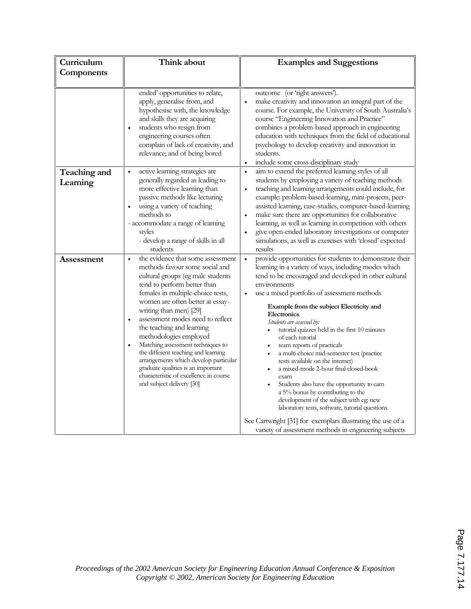| Curriculum               | Think about                                                                                                                                                                                                                                                                                                                                                                                                                                                                                                                                                                                                    | <b>Examples and Suggestions</b>                                                                                                                                                                                                                                                                                                                                                                                                                                                                                                                                                                                                                                                                                                                                                                                                                                                             |
|--------------------------|----------------------------------------------------------------------------------------------------------------------------------------------------------------------------------------------------------------------------------------------------------------------------------------------------------------------------------------------------------------------------------------------------------------------------------------------------------------------------------------------------------------------------------------------------------------------------------------------------------------|---------------------------------------------------------------------------------------------------------------------------------------------------------------------------------------------------------------------------------------------------------------------------------------------------------------------------------------------------------------------------------------------------------------------------------------------------------------------------------------------------------------------------------------------------------------------------------------------------------------------------------------------------------------------------------------------------------------------------------------------------------------------------------------------------------------------------------------------------------------------------------------------|
| Components               |                                                                                                                                                                                                                                                                                                                                                                                                                                                                                                                                                                                                                |                                                                                                                                                                                                                                                                                                                                                                                                                                                                                                                                                                                                                                                                                                                                                                                                                                                                                             |
|                          |                                                                                                                                                                                                                                                                                                                                                                                                                                                                                                                                                                                                                |                                                                                                                                                                                                                                                                                                                                                                                                                                                                                                                                                                                                                                                                                                                                                                                                                                                                                             |
|                          | ended' opportunities to relate,<br>apply, generalise from, and<br>hypothesise with, the knowledge<br>and skills they are acquiring<br>students who resign from<br>$\bullet$<br>engineering courses often<br>complain of lack of creativity, and<br>relevance; and of being bored                                                                                                                                                                                                                                                                                                                               | outcome (or 'right answers').<br>make creativity and innovation an integral part of the<br>$\bullet$<br>course. For example, the University of South Australia's<br>course "Engineering Innovation and Practice"<br>combines a problem-based approach in engineering<br>education with techniques from the field of educational<br>psychology to develop creativity and innovation in<br>students.<br>include some cross-disciplinary study<br>$\bullet$                                                                                                                                                                                                                                                                                                                                                                                                                                    |
| Teaching and<br>Learning | active learning strategies are<br>$\bullet$<br>generally regarded as leading to<br>more effective learning than<br>passive methods like lecturing<br>using a variety of teaching<br>methods to<br>- accommodate a range of learning<br>styles<br>- develop a range of skills in all<br>students                                                                                                                                                                                                                                                                                                                | aim to extend the preferred learning styles of all<br>$\bullet$<br>students by employing a variety of teaching methods<br>teaching and learning arrangements could include, for<br>$\bullet$<br>example: problem-based-learning, mini-projects, peer-<br>assisted learning, case-studies, computer-based-learning<br>make sure there are opportunities for collaborative<br>$\bullet$<br>learning, as well as learning in competition with others<br>give open-ended laboratory investigations or computer<br>simulations, as well as exercises with 'closed' expected<br>results                                                                                                                                                                                                                                                                                                           |
| Assessment               | the evidence that some assessment<br>$\bullet$<br>methods favour some social and<br>cultural groups (eg male students<br>tend to perform better than<br>females in multiple-choice tests,<br>women are often better at essay-<br>writing than men) [29]<br>assessment modes need to reflect<br>$\bullet$<br>the teaching and learning<br>methodologies employed<br>Matching assessment techniques to<br>$\bullet$<br>the different teaching and learning<br>arrangements which develop particular<br>graduate qualities is an important<br>characteristic of excellence in course<br>and subject delivery [30] | provide opportunities for students to demonstrate their<br>$\bullet$<br>learning in a variety of ways, including modes which<br>tend to be encouraged and developed in other cultural<br>environments<br>use a mixed portfolio of assessment methods<br>Example from the subject Electricity and<br>Electronics.<br>Students are assessed by:<br>tutorial quizzes held in the first 10 minutes<br>of each tutonal<br>team reports of practicals<br>a multi-choice mid-semester test (practice<br>tests available on the internet)<br>a mixed-mode 2-hour final closed-book<br>exam<br>Students also have the opportunity to earn<br>a 5% bonus by contributing to the<br>development of the subject with eg: new<br>laboratory tests, software, tutorial questions.<br>See Cartwright [31] for exemplars illustrating the use of a<br>variety of assessment methods in engineering subjects |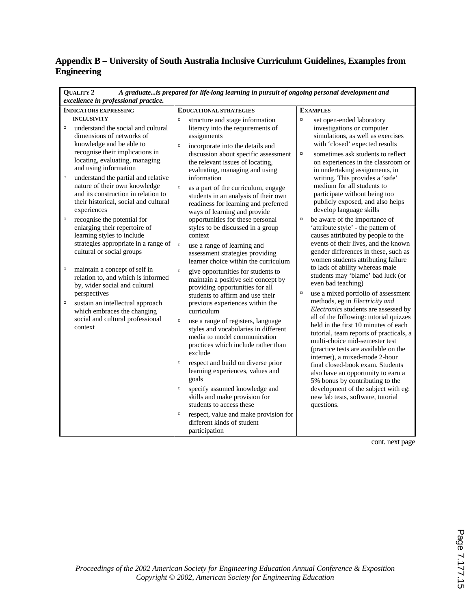# **Appendix B – University of South Australia Inclusive Curriculum Guidelines, Examples from Engineering**

| A graduateis prepared for life-long learning in pursuit of ongoing personal development and<br><b>QUALITY 2</b><br>excellence in professional practice.                                                                                                                                                                                                                                     |                                                                                                                                                                                                                                                                                                                                                                                                                                                                                                                                                                                            |                                                                                                                                                                                                                                                                                                                                                                                                                                                                                                                                                                                                                                                                       |  |  |  |  |  |
|---------------------------------------------------------------------------------------------------------------------------------------------------------------------------------------------------------------------------------------------------------------------------------------------------------------------------------------------------------------------------------------------|--------------------------------------------------------------------------------------------------------------------------------------------------------------------------------------------------------------------------------------------------------------------------------------------------------------------------------------------------------------------------------------------------------------------------------------------------------------------------------------------------------------------------------------------------------------------------------------------|-----------------------------------------------------------------------------------------------------------------------------------------------------------------------------------------------------------------------------------------------------------------------------------------------------------------------------------------------------------------------------------------------------------------------------------------------------------------------------------------------------------------------------------------------------------------------------------------------------------------------------------------------------------------------|--|--|--|--|--|
| <b>INDICATORS EXPRESSING</b>                                                                                                                                                                                                                                                                                                                                                                | <b>EDUCATIONAL STRATEGIES</b>                                                                                                                                                                                                                                                                                                                                                                                                                                                                                                                                                              | <b>EXAMPLES</b>                                                                                                                                                                                                                                                                                                                                                                                                                                                                                                                                                                                                                                                       |  |  |  |  |  |
| <b>INCLUSIVITY</b><br>$\Box$<br>understand the social and cultural<br>dimensions of networks of<br>knowledge and be able to<br>recognise their implications in<br>locating, evaluating, managing<br>and using information<br>$\Box$<br>understand the partial and relative<br>nature of their own knowledge<br>and its construction in relation to<br>their historical, social and cultural | $\Box$<br>structure and stage information<br>literacy into the requirements of<br>assignments<br>$\Box$<br>incorporate into the details and<br>discussion about specific assessment<br>the relevant issues of locating,<br>evaluating, managing and using<br>information<br>$\Box$<br>as a part of the curriculum, engage<br>students in an analysis of their own<br>readiness for learning and preferred                                                                                                                                                                                  | $\Box$<br>set open-ended laboratory<br>investigations or computer<br>simulations, as well as exercises<br>with 'closed' expected results<br>$\Box$<br>sometimes ask students to reflect<br>on experiences in the classroom or<br>in undertaking assignments, in<br>writing. This provides a 'safe'<br>medium for all students to<br>participate without being too<br>publicly exposed, and also helps                                                                                                                                                                                                                                                                 |  |  |  |  |  |
| experiences<br>$\Box$<br>recognise the potential for<br>enlarging their repertoire of<br>learning styles to include<br>strategies appropriate in a range of<br>cultural or social groups                                                                                                                                                                                                    | ways of learning and provide<br>opportunities for these personal<br>styles to be discussed in a group<br>context<br>$\Box$<br>use a range of learning and<br>assessment strategies providing<br>learner choice within the curriculum                                                                                                                                                                                                                                                                                                                                                       | develop language skills<br>$\Box$<br>be aware of the importance of<br>'attribute style' - the pattern of<br>causes attributed by people to the<br>events of their lives, and the known<br>gender differences in these, such as<br>women students attributing failure                                                                                                                                                                                                                                                                                                                                                                                                  |  |  |  |  |  |
| о<br>maintain a concept of self in<br>relation to, and which is informed<br>by, wider social and cultural<br>perspectives<br>$\Box$<br>sustain an intellectual approach<br>which embraces the changing<br>social and cultural professional<br>context                                                                                                                                       | $\Box$<br>give opportunities for students to<br>maintain a positive self concept by<br>providing opportunities for all<br>students to affirm and use their<br>previous experiences within the<br>curriculum<br>$\Box$<br>use a range of registers, language<br>styles and vocabularies in different<br>media to model communication<br>practices which include rather than<br>exclude<br>$\Box$<br>respect and build on diverse prior<br>learning experiences, values and<br>goals<br>$\Box$<br>specify assumed knowledge and<br>skills and make provision for<br>students to access these | to lack of ability whereas male<br>students may 'blame' bad luck (or<br>even bad teaching)<br>use a mixed portfolio of assessment<br>$\Box$<br>methods, eg in Electricity and<br>Electronics students are assessed by<br>all of the following: tutorial quizzes<br>held in the first 10 minutes of each<br>tutorial, team reports of practicals, a<br>multi-choice mid-semester test<br>(practice tests are available on the<br>internet), a mixed-mode 2-hour<br>final closed-book exam. Students<br>also have an opportunity to earn a<br>5% bonus by contributing to the<br>development of the subject with eg:<br>new lab tests, software, tutorial<br>questions. |  |  |  |  |  |
|                                                                                                                                                                                                                                                                                                                                                                                             | $\Box$<br>respect, value and make provision for<br>different kinds of student<br>participation                                                                                                                                                                                                                                                                                                                                                                                                                                                                                             |                                                                                                                                                                                                                                                                                                                                                                                                                                                                                                                                                                                                                                                                       |  |  |  |  |  |

cont. next page